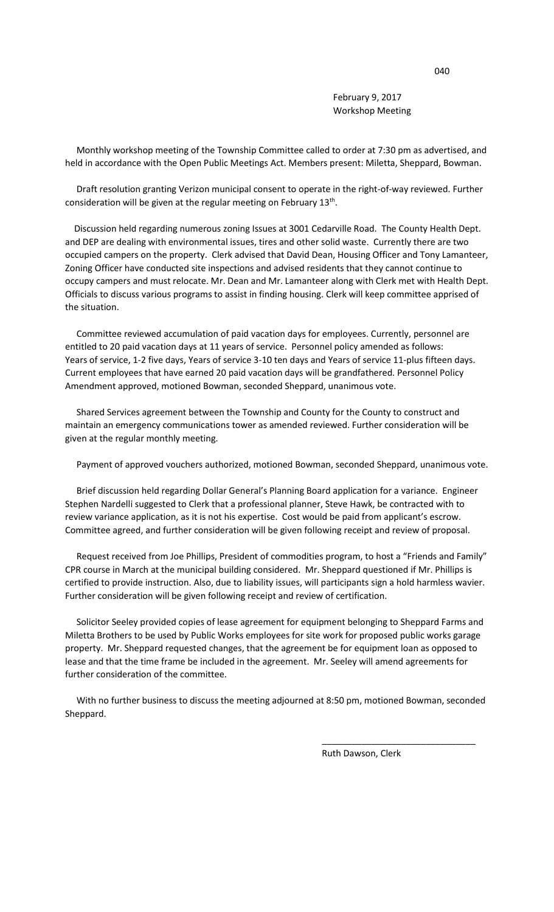February 9, 2017 Workshop Meeting

 Monthly workshop meeting of the Township Committee called to order at 7:30 pm as advertised, and held in accordance with the Open Public Meetings Act. Members present: Miletta, Sheppard, Bowman.

 Draft resolution granting Verizon municipal consent to operate in the right-of-way reviewed. Further consideration will be given at the regular meeting on February 13<sup>th</sup>.

 Discussion held regarding numerous zoning Issues at 3001 Cedarville Road. The County Health Dept. and DEP are dealing with environmental issues, tires and other solid waste. Currently there are two occupied campers on the property. Clerk advised that David Dean, Housing Officer and Tony Lamanteer, Zoning Officer have conducted site inspections and advised residents that they cannot continue to occupy campers and must relocate. Mr. Dean and Mr. Lamanteer along with Clerk met with Health Dept. Officials to discuss various programs to assist in finding housing. Clerk will keep committee apprised of the situation.

 Committee reviewed accumulation of paid vacation days for employees. Currently, personnel are entitled to 20 paid vacation days at 11 years of service. Personnel policy amended as follows: Years of service, 1-2 five days, Years of service 3-10 ten days and Years of service 11-plus fifteen days. Current employees that have earned 20 paid vacation days will be grandfathered. Personnel Policy Amendment approved, motioned Bowman, seconded Sheppard, unanimous vote.

 Shared Services agreement between the Township and County for the County to construct and maintain an emergency communications tower as amended reviewed. Further consideration will be given at the regular monthly meeting.

Payment of approved vouchers authorized, motioned Bowman, seconded Sheppard, unanimous vote.

 Brief discussion held regarding Dollar General's Planning Board application for a variance. Engineer Stephen Nardelli suggested to Clerk that a professional planner, Steve Hawk, be contracted with to review variance application, as it is not his expertise. Cost would be paid from applicant's escrow. Committee agreed, and further consideration will be given following receipt and review of proposal.

 Request received from Joe Phillips, President of commodities program, to host a "Friends and Family" CPR course in March at the municipal building considered. Mr. Sheppard questioned if Mr. Phillips is certified to provide instruction. Also, due to liability issues, will participants sign a hold harmless wavier. Further consideration will be given following receipt and review of certification.

 Solicitor Seeley provided copies of lease agreement for equipment belonging to Sheppard Farms and Miletta Brothers to be used by Public Works employees for site work for proposed public works garage property. Mr. Sheppard requested changes, that the agreement be for equipment loan as opposed to lease and that the time frame be included in the agreement. Mr. Seeley will amend agreements for further consideration of the committee.

 With no further business to discuss the meeting adjourned at 8:50 pm, motioned Bowman, seconded Sheppard.

 $\overline{\phantom{a}}$  , and the contract of the contract of the contract of the contract of the contract of the contract of the contract of the contract of the contract of the contract of the contract of the contract of the contrac

Ruth Dawson, Clerk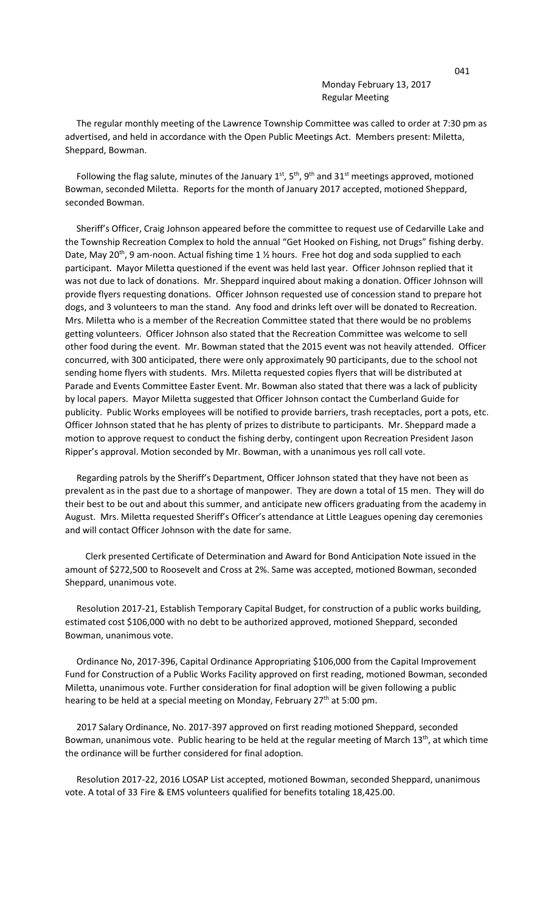Monday February 13, 2017 Regular Meeting

 The regular monthly meeting of the Lawrence Township Committee was called to order at 7:30 pm as advertised, and held in accordance with the Open Public Meetings Act. Members present: Miletta, Sheppard, Bowman.

Following the flag salute, minutes of the January  $1^{st}$ ,  $5^{th}$ ,  $9^{th}$  and  $31^{st}$  meetings approved, motioned Bowman, seconded Miletta. Reports for the month of January 2017 accepted, motioned Sheppard, seconded Bowman.

 Sheriff's Officer, Craig Johnson appeared before the committee to request use of Cedarville Lake and the Township Recreation Complex to hold the annual "Get Hooked on Fishing, not Drugs" fishing derby. Date, May 20<sup>th</sup>, 9 am-noon. Actual fishing time 1  $\frac{1}{2}$  hours. Free hot dog and soda supplied to each participant. Mayor Miletta questioned if the event was held last year. Officer Johnson replied that it was not due to lack of donations. Mr. Sheppard inquired about making a donation. Officer Johnson will provide flyers requesting donations. Officer Johnson requested use of concession stand to prepare hot dogs, and 3 volunteers to man the stand. Any food and drinks left over will be donated to Recreation. Mrs. Miletta who is a member of the Recreation Committee stated that there would be no problems getting volunteers. Officer Johnson also stated that the Recreation Committee was welcome to sell other food during the event. Mr. Bowman stated that the 2015 event was not heavily attended. Officer concurred, with 300 anticipated, there were only approximately 90 participants, due to the school not sending home flyers with students. Mrs. Miletta requested copies flyers that will be distributed at Parade and Events Committee Easter Event. Mr. Bowman also stated that there was a lack of publicity by local papers. Mayor Miletta suggested that Officer Johnson contact the Cumberland Guide for publicity. Public Works employees will be notified to provide barriers, trash receptacles, port a pots, etc. Officer Johnson stated that he has plenty of prizes to distribute to participants. Mr. Sheppard made a motion to approve request to conduct the fishing derby, contingent upon Recreation President Jason Ripper's approval. Motion seconded by Mr. Bowman, with a unanimous yes roll call vote.

 Regarding patrols by the Sheriff's Department, Officer Johnson stated that they have not been as prevalent as in the past due to a shortage of manpower. They are down a total of 15 men. They will do their best to be out and about this summer, and anticipate new officers graduating from the academy in August. Mrs. Miletta requested Sheriff's Officer's attendance at Little Leagues opening day ceremonies and will contact Officer Johnson with the date for same.

 Clerk presented Certificate of Determination and Award for Bond Anticipation Note issued in the amount of \$272,500 to Roosevelt and Cross at 2%. Same was accepted, motioned Bowman, seconded Sheppard, unanimous vote.

 Resolution 2017-21, Establish Temporary Capital Budget, for construction of a public works building, estimated cost \$106,000 with no debt to be authorized approved, motioned Sheppard, seconded Bowman, unanimous vote.

 Ordinance No, 2017-396, Capital Ordinance Appropriating \$106,000 from the Capital Improvement Fund for Construction of a Public Works Facility approved on first reading, motioned Bowman, seconded Miletta, unanimous vote. Further consideration for final adoption will be given following a public hearing to be held at a special meeting on Monday, February 27<sup>th</sup> at 5:00 pm.

 2017 Salary Ordinance, No. 2017-397 approved on first reading motioned Sheppard, seconded Bowman, unanimous vote. Public hearing to be held at the regular meeting of March 13<sup>th</sup>, at which time the ordinance will be further considered for final adoption.

 Resolution 2017-22, 2016 LOSAP List accepted, motioned Bowman, seconded Sheppard, unanimous vote. A total of 33 Fire & EMS volunteers qualified for benefits totaling 18,425.00.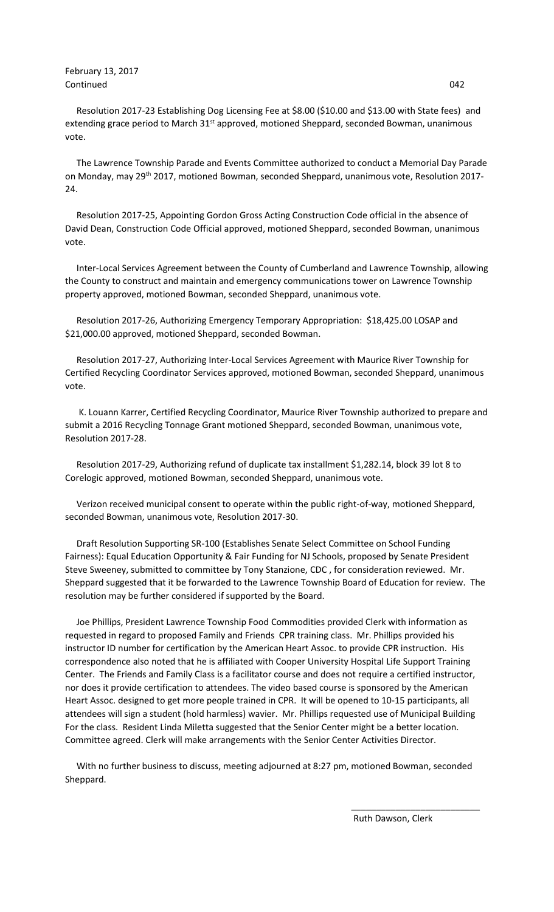February 13, 2017 Continued 042

 Resolution 2017-23 Establishing Dog Licensing Fee at \$8.00 (\$10.00 and \$13.00 with State fees) and extending grace period to March 31<sup>st</sup> approved, motioned Sheppard, seconded Bowman, unanimous vote.

 The Lawrence Township Parade and Events Committee authorized to conduct a Memorial Day Parade on Monday, may 29<sup>th</sup> 2017, motioned Bowman, seconded Sheppard, unanimous vote, Resolution 2017-24.

 Resolution 2017-25, Appointing Gordon Gross Acting Construction Code official in the absence of David Dean, Construction Code Official approved, motioned Sheppard, seconded Bowman, unanimous vote.

 Inter-Local Services Agreement between the County of Cumberland and Lawrence Township, allowing the County to construct and maintain and emergency communications tower on Lawrence Township property approved, motioned Bowman, seconded Sheppard, unanimous vote.

 Resolution 2017-26, Authorizing Emergency Temporary Appropriation: \$18,425.00 LOSAP and \$21,000.00 approved, motioned Sheppard, seconded Bowman.

 Resolution 2017-27, Authorizing Inter-Local Services Agreement with Maurice River Township for Certified Recycling Coordinator Services approved, motioned Bowman, seconded Sheppard, unanimous vote.

 K. Louann Karrer, Certified Recycling Coordinator, Maurice River Township authorized to prepare and submit a 2016 Recycling Tonnage Grant motioned Sheppard, seconded Bowman, unanimous vote, Resolution 2017-28.

 Resolution 2017-29, Authorizing refund of duplicate tax installment \$1,282.14, block 39 lot 8 to Corelogic approved, motioned Bowman, seconded Sheppard, unanimous vote.

 Verizon received municipal consent to operate within the public right-of-way, motioned Sheppard, seconded Bowman, unanimous vote, Resolution 2017-30.

 Draft Resolution Supporting SR-100 (Establishes Senate Select Committee on School Funding Fairness): Equal Education Opportunity & Fair Funding for NJ Schools, proposed by Senate President Steve Sweeney, submitted to committee by Tony Stanzione, CDC , for consideration reviewed. Mr. Sheppard suggested that it be forwarded to the Lawrence Township Board of Education for review. The resolution may be further considered if supported by the Board.

 Joe Phillips, President Lawrence Township Food Commodities provided Clerk with information as requested in regard to proposed Family and Friends CPR training class. Mr. Phillips provided his instructor ID number for certification by the American Heart Assoc. to provide CPR instruction. His correspondence also noted that he is affiliated with Cooper University Hospital Life Support Training Center. The Friends and Family Class is a facilitator course and does not require a certified instructor, nor does it provide certification to attendees. The video based course is sponsored by the American Heart Assoc. designed to get more people trained in CPR. It will be opened to 10-15 participants, all attendees will sign a student (hold harmless) wavier. Mr. Phillips requested use of Municipal Building For the class. Resident Linda Miletta suggested that the Senior Center might be a better location. Committee agreed. Clerk will make arrangements with the Senior Center Activities Director.

 With no further business to discuss, meeting adjourned at 8:27 pm, motioned Bowman, seconded Sheppard.

 $\overline{\phantom{a}}$  , and the contract of the contract of the contract of the contract of the contract of the contract of the contract of the contract of the contract of the contract of the contract of the contract of the contrac

Ruth Dawson, Clerk